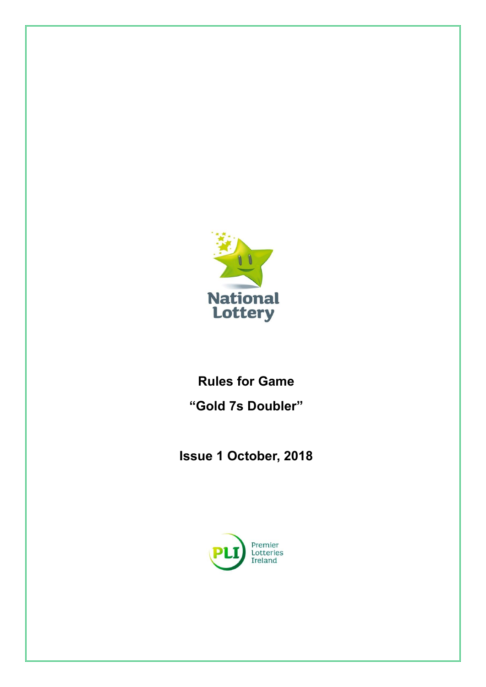

# **Rules for Game "Gold 7s Doubler"**

## **Issue 1 October, 2018**

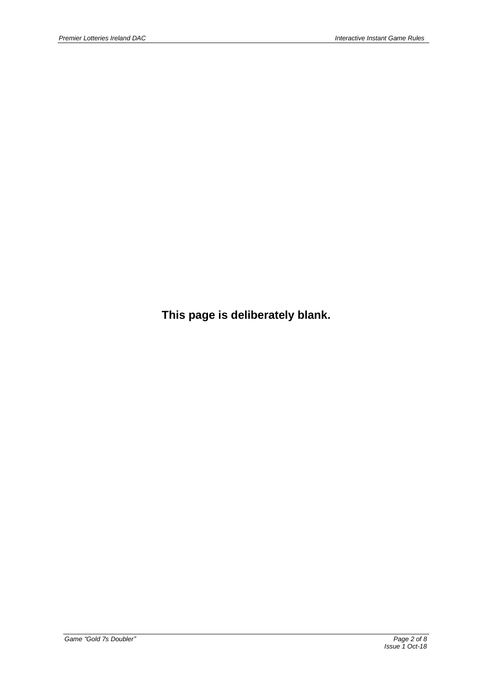**This page is deliberately blank.**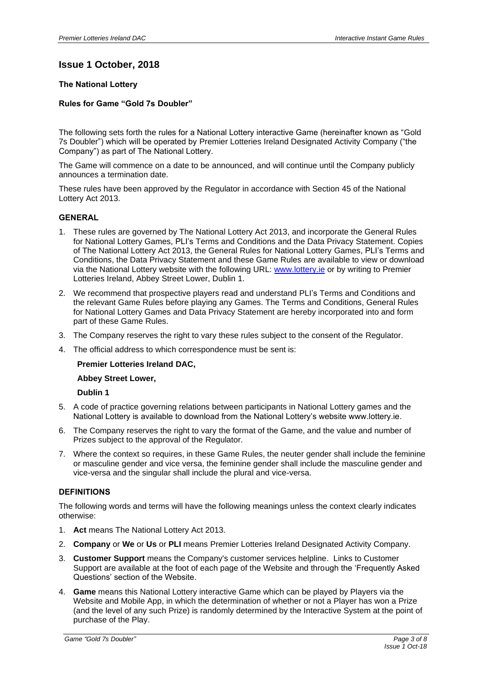## **Issue 1 October, 2018**

## **The National Lottery**

## **Rules for Game "Gold 7s Doubler"**

The following sets forth the rules for a National Lottery interactive Game (hereinafter known as "Gold 7s Doubler") which will be operated by Premier Lotteries Ireland Designated Activity Company ("the Company") as part of The National Lottery.

The Game will commence on a date to be announced, and will continue until the Company publicly announces a termination date.

These rules have been approved by the Regulator in accordance with Section 45 of the National Lottery Act 2013.

## **GENERAL**

- 1. These rules are governed by The National Lottery Act 2013, and incorporate the General Rules for National Lottery Games, PLI's Terms and Conditions and the Data Privacy Statement. Copies of The National Lottery Act 2013, the General Rules for National Lottery Games, PLI's Terms and Conditions, the Data Privacy Statement and these Game Rules are available to view or download via the National Lottery website with the following URL: [www.lottery.ie](http://www.lotto.ie/) or by writing to Premier Lotteries Ireland, Abbey Street Lower, Dublin 1.
- 2. We recommend that prospective players read and understand PLI's Terms and Conditions and the relevant Game Rules before playing any Games. The Terms and Conditions, General Rules for National Lottery Games and Data Privacy Statement are hereby incorporated into and form part of these Game Rules.
- 3. The Company reserves the right to vary these rules subject to the consent of the Regulator.
- 4. The official address to which correspondence must be sent is:

#### **Premier Lotteries Ireland DAC,**

#### **Abbey Street Lower,**

#### **Dublin 1**

- 5. A code of practice governing relations between participants in National Lottery games and the National Lottery is available to download from the National Lottery's website www.lottery.ie.
- 6. The Company reserves the right to vary the format of the Game, and the value and number of Prizes subject to the approval of the Regulator.
- 7. Where the context so requires, in these Game Rules, the neuter gender shall include the feminine or masculine gender and vice versa, the feminine gender shall include the masculine gender and vice-versa and the singular shall include the plural and vice-versa.

#### **DEFINITIONS**

The following words and terms will have the following meanings unless the context clearly indicates otherwise:

- 1. **Act** means The National Lottery Act 2013.
- 2. **Company** or **We** or **Us** or **PLI** means Premier Lotteries Ireland Designated Activity Company.
- 3. **Customer Support** means the Company's customer services helpline. Links to Customer Support are available at the foot of each page of the Website and through the 'Frequently Asked Questions' section of the Website.
- 4. **Game** means this National Lottery interactive Game which can be played by Players via the Website and Mobile App, in which the determination of whether or not a Player has won a Prize (and the level of any such Prize) is randomly determined by the Interactive System at the point of purchase of the Play.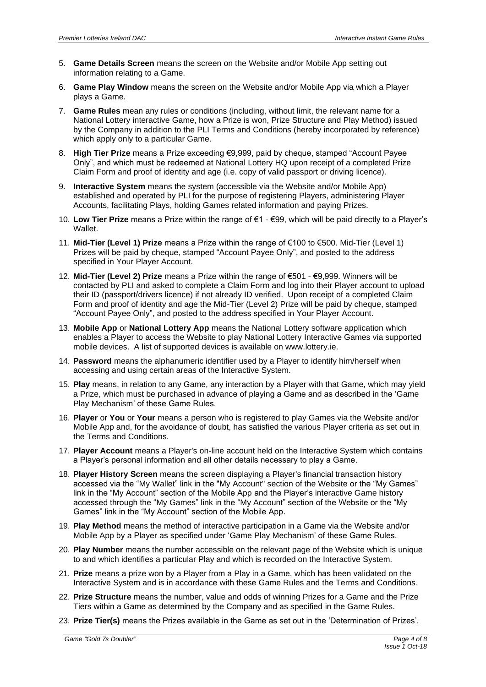- 5. **Game Details Screen** means the screen on the Website and/or Mobile App setting out information relating to a Game.
- 6. **Game Play Window** means the screen on the Website and/or Mobile App via which a Player plays a Game.
- 7. **Game Rules** mean any rules or conditions (including, without limit, the relevant name for a National Lottery interactive Game, how a Prize is won, Prize Structure and Play Method) issued by the Company in addition to the PLI Terms and Conditions (hereby incorporated by reference) which apply only to a particular Game.
- 8. **High Tier Prize** means a Prize exceeding €9,999, paid by cheque, stamped "Account Payee Only", and which must be redeemed at National Lottery HQ upon receipt of a completed Prize Claim Form and proof of identity and age (i.e. copy of valid passport or driving licence).
- 9. **Interactive System** means the system (accessible via the Website and/or Mobile App) established and operated by PLI for the purpose of registering Players, administering Player Accounts, facilitating Plays, holding Games related information and paying Prizes.
- 10. **Low Tier Prize** means a Prize within the range of €1 €99, which will be paid directly to a Player's Wallet.
- 11. **Mid-Tier (Level 1) Prize** means a Prize within the range of €100 to €500. Mid-Tier (Level 1) Prizes will be paid by cheque, stamped "Account Payee Only", and posted to the address specified in Your Player Account.
- 12. **Mid-Tier (Level 2) Prize** means a Prize within the range of €501 €9,999. Winners will be contacted by PLI and asked to complete a Claim Form and log into their Player account to upload their ID (passport/drivers licence) if not already ID verified. Upon receipt of a completed Claim Form and proof of identity and age the Mid-Tier (Level 2) Prize will be paid by cheque, stamped "Account Payee Only", and posted to the address specified in Your Player Account.
- 13. **Mobile App** or **National Lottery App** means the National Lottery software application which enables a Player to access the Website to play National Lottery Interactive Games via supported mobile devices. A list of supported devices is available on www.lottery.ie.
- 14. **Password** means the alphanumeric identifier used by a Player to identify him/herself when accessing and using certain areas of the Interactive System.
- 15. **Play** means, in relation to any Game, any interaction by a Player with that Game, which may yield a Prize, which must be purchased in advance of playing a Game and as described in the 'Game Play Mechanism' of these Game Rules.
- 16. **Player** or **You** or **Your** means a person who is registered to play Games via the Website and/or Mobile App and, for the avoidance of doubt, has satisfied the various Player criteria as set out in the Terms and Conditions.
- 17. **Player Account** means a Player's on-line account held on the Interactive System which contains a Player's personal information and all other details necessary to play a Game.
- 18. **Player History Screen** means the screen displaying a Player's financial transaction history accessed via the "My Wallet" link in the "My Account" section of the Website or the "My Games" link in the "My Account" section of the Mobile App and the Player's interactive Game history accessed through the "My Games" link in the "My Account" section of the Website or the "My Games" link in the "My Account" section of the Mobile App.
- 19. **Play Method** means the method of interactive participation in a Game via the Website and/or Mobile App by a Player as specified under 'Game Play Mechanism' of these Game Rules.
- 20. **Play Number** means the number accessible on the relevant page of the Website which is unique to and which identifies a particular Play and which is recorded on the Interactive System.
- 21. **Prize** means a prize won by a Player from a Play in a Game, which has been validated on the Interactive System and is in accordance with these Game Rules and the Terms and Conditions.
- 22. **Prize Structure** means the number, value and odds of winning Prizes for a Game and the Prize Tiers within a Game as determined by the Company and as specified in the Game Rules.
- 23. **Prize Tier(s)** means the Prizes available in the Game as set out in the 'Determination of Prizes'.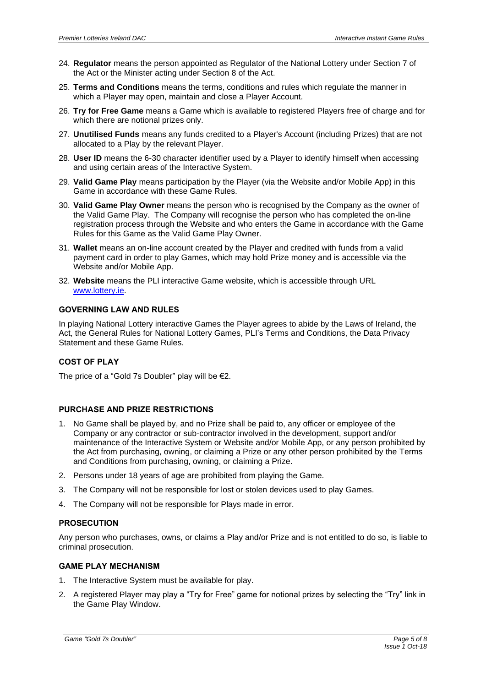- 24. **Regulator** means the person appointed as Regulator of the National Lottery under Section 7 of the Act or the Minister acting under Section 8 of the Act.
- 25. **Terms and Conditions** means the terms, conditions and rules which regulate the manner in which a Player may open, maintain and close a Player Account.
- 26. **Try for Free Game** means a Game which is available to registered Players free of charge and for which there are notional prizes only.
- 27. **Unutilised Funds** means any funds credited to a Player's Account (including Prizes) that are not allocated to a Play by the relevant Player.
- 28. **User ID** means the 6-30 character identifier used by a Player to identify himself when accessing and using certain areas of the Interactive System.
- 29. **Valid Game Play** means participation by the Player (via the Website and/or Mobile App) in this Game in accordance with these Game Rules.
- 30. **Valid Game Play Owner** means the person who is recognised by the Company as the owner of the Valid Game Play. The Company will recognise the person who has completed the on-line registration process through the Website and who enters the Game in accordance with the Game Rules for this Game as the Valid Game Play Owner.
- 31. **Wallet** means an on-line account created by the Player and credited with funds from a valid payment card in order to play Games, which may hold Prize money and is accessible via the Website and/or Mobile App.
- 32. **Website** means the PLI interactive Game website, which is accessible through URL www.lottery.ie.

## **GOVERNING LAW AND RULES**

In playing National Lottery interactive Games the Player agrees to abide by the Laws of Ireland, the Act, the General Rules for National Lottery Games, PLI's Terms and Conditions, the Data Privacy Statement and these Game Rules.

## **COST OF PLAY**

The price of a "Gold 7s Doubler" play will be  $E$ 2.

## **PURCHASE AND PRIZE RESTRICTIONS**

- 1. No Game shall be played by, and no Prize shall be paid to, any officer or employee of the Company or any contractor or sub-contractor involved in the development, support and/or maintenance of the Interactive System or Website and/or Mobile App, or any person prohibited by the Act from purchasing, owning, or claiming a Prize or any other person prohibited by the Terms and Conditions from purchasing, owning, or claiming a Prize.
- 2. Persons under 18 years of age are prohibited from playing the Game.
- 3. The Company will not be responsible for lost or stolen devices used to play Games.
- 4. The Company will not be responsible for Plays made in error.

## **PROSECUTION**

Any person who purchases, owns, or claims a Play and/or Prize and is not entitled to do so, is liable to criminal prosecution.

### **GAME PLAY MECHANISM**

- 1. The Interactive System must be available for play.
- 2. A registered Player may play a "Try for Free" game for notional prizes by selecting the "Try" link in the Game Play Window.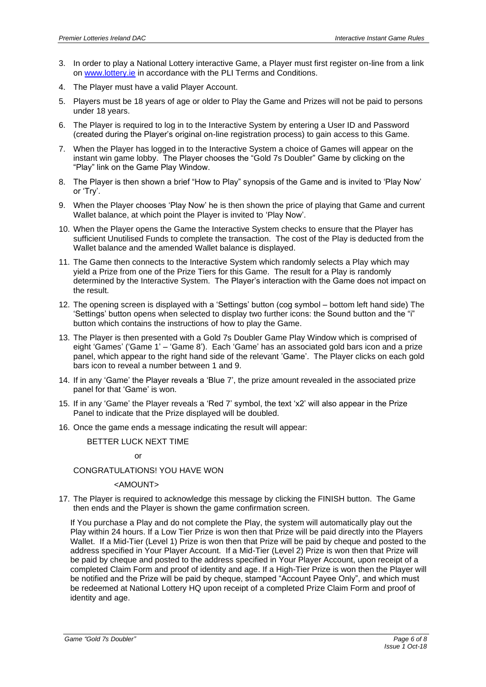- 3. In order to play a National Lottery interactive Game, a Player must first register on-line from a link on [www.lottery.ie](http://www.lotto.ie/) in accordance with the PLI Terms and Conditions.
- 4. The Player must have a valid Player Account.
- 5. Players must be 18 years of age or older to Play the Game and Prizes will not be paid to persons under 18 years.
- 6. The Player is required to log in to the Interactive System by entering a User ID and Password (created during the Player's original on-line registration process) to gain access to this Game.
- 7. When the Player has logged in to the Interactive System a choice of Games will appear on the instant win game lobby. The Player chooses the "Gold 7s Doubler" Game by clicking on the "Play" link on the Game Play Window.
- 8. The Player is then shown a brief "How to Play" synopsis of the Game and is invited to 'Play Now' or 'Try'.
- 9. When the Player chooses 'Play Now' he is then shown the price of playing that Game and current Wallet balance, at which point the Player is invited to 'Play Now'.
- 10. When the Player opens the Game the Interactive System checks to ensure that the Player has sufficient Unutilised Funds to complete the transaction. The cost of the Play is deducted from the Wallet balance and the amended Wallet balance is displayed.
- 11. The Game then connects to the Interactive System which randomly selects a Play which may yield a Prize from one of the Prize Tiers for this Game. The result for a Play is randomly determined by the Interactive System. The Player's interaction with the Game does not impact on the result.
- 12. The opening screen is displayed with a 'Settings' button (cog symbol bottom left hand side) The 'Settings' button opens when selected to display two further icons: the Sound button and the "i" button which contains the instructions of how to play the Game.
- 13. The Player is then presented with a Gold 7s Doubler Game Play Window which is comprised of eight 'Games' ('Game 1' – 'Game 8'). Each 'Game' has an associated gold bars icon and a prize panel, which appear to the right hand side of the relevant 'Game'. The Player clicks on each gold bars icon to reveal a number between 1 and 9.
- 14. If in any 'Game' the Player reveals a 'Blue 7', the prize amount revealed in the associated prize panel for that 'Game' is won.
- 15. If in any 'Game' the Player reveals a 'Red 7' symbol, the text 'x2' will also appear in the Prize Panel to indicate that the Prize displayed will be doubled.
- 16. Once the game ends a message indicating the result will appear:

BETTER LUCK NEXT TIME

## CONGRATULATIONS! YOU HAVE WON

## <AMOUNT>

or and the contract of the contract of the contract of the contract of the contract of the contract of the con

17. The Player is required to acknowledge this message by clicking the FINISH button. The Game then ends and the Player is shown the game confirmation screen.

If You purchase a Play and do not complete the Play, the system will automatically play out the Play within 24 hours. If a Low Tier Prize is won then that Prize will be paid directly into the Players Wallet. If a Mid-Tier (Level 1) Prize is won then that Prize will be paid by cheque and posted to the address specified in Your Player Account. If a Mid-Tier (Level 2) Prize is won then that Prize will be paid by cheque and posted to the address specified in Your Player Account, upon receipt of a completed Claim Form and proof of identity and age. If a High-Tier Prize is won then the Player will be notified and the Prize will be paid by cheque, stamped "Account Payee Only", and which must be redeemed at National Lottery HQ upon receipt of a completed Prize Claim Form and proof of identity and age.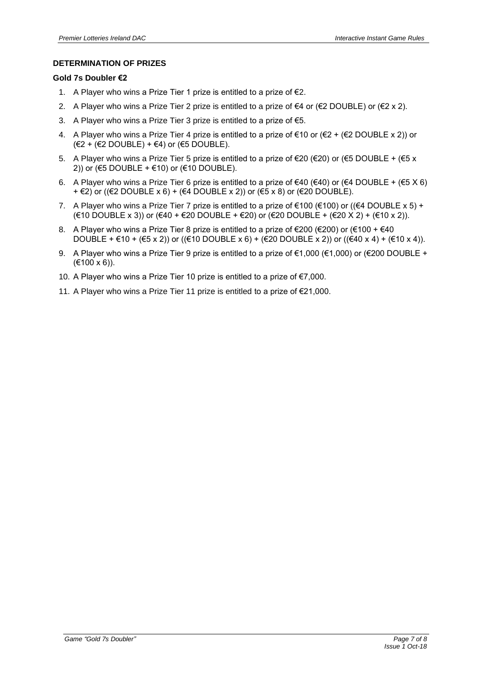## **DETERMINATION OF PRIZES**

### **Gold 7s Doubler €2**

- 1. A Player who wins a Prize Tier 1 prize is entitled to a prize of €2.
- 2. A Player who wins a Prize Tier 2 prize is entitled to a prize of €4 or (€2 DOUBLE) or (€2 x 2).
- 3. A Player who wins a Prize Tier 3 prize is entitled to a prize of €5.
- 4. A Player who wins a Prize Tier 4 prize is entitled to a prize of €10 or (€2 + (€2 DOUBLE x 2)) or  $(\epsilon 2 + (\epsilon 2 \text{ DOUBLE}) + \epsilon 4)$  or  $(\epsilon 5 \text{ DOUBLE})$ .
- 5. A Player who wins a Prize Tier 5 prize is entitled to a prize of €20 (€20) or (€5 DOUBLE + (€5 x 2)) or  $(€5$  DOUBLE + €10) or  $(€10$  DOUBLE).
- 6. A Player who wins a Prize Tier 6 prize is entitled to a prize of €40 (€40) or (€4 DOUBLE + (€5 X 6) + €2) or ((€2 DOUBLE x 6) + (€4 DOUBLE x 2)) or (€5 x 8) or (€20 DOUBLE).
- 7. A Player who wins a Prize Tier 7 prize is entitled to a prize of  $\epsilon$ 100 ( $\epsilon$ 100) or (( $\epsilon$ 4 DOUBLE x 5) + (€10 DOUBLE x 3)) or (€40 + €20 DOUBLE + €20) or (€20 DOUBLE + (€20 X 2) + (€10 x 2)).
- 8. A Player who wins a Prize Tier 8 prize is entitled to a prize of €200 (€200) or (€100 + €40 DOUBLE + €10 + (€5 x 2)) or ((€10 DOUBLE x 6) + (€20 DOUBLE x 2)) or ((€40 x 4) + (€10 x 4)).
- 9. A Player who wins a Prize Tier 9 prize is entitled to a prize of €1,000 (€1,000) or (€200 DOUBLE + (€100 x 6)).
- 10. A Player who wins a Prize Tier 10 prize is entitled to a prize of €7,000.
- 11. A Player who wins a Prize Tier 11 prize is entitled to a prize of €21,000.